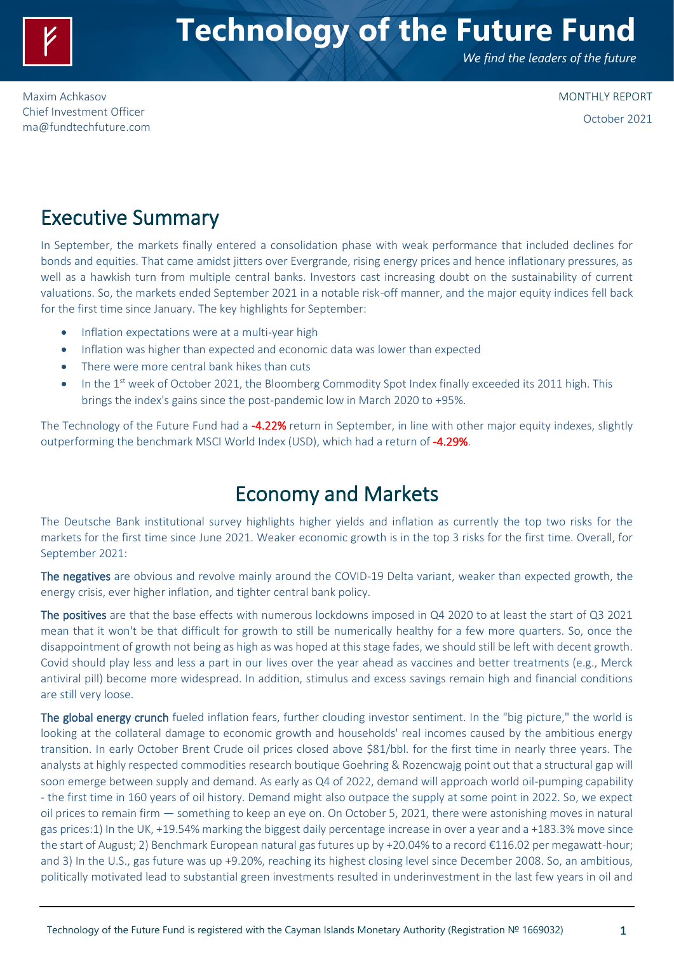

# **Technology of the Future Fund**

*We find the leaders of the future*

Maxim Achkasov Chief Investment Officer [ma@fundtechfuture.com](mailto:ma@achkasov.com) MONTHLY REPORT October 2021

### Executive Summary

In September, the markets finally entered a consolidation phase with weak performance that included declines for bonds and equities. That came amidst jitters over Evergrande, rising energy prices and hence inflationary pressures, as well as a hawkish turn from multiple central banks. Investors cast increasing doubt on the sustainability of current valuations. So, the markets ended September 2021 in a notable risk-off manner, and the major equity indices fell back for the first time since January. The key highlights for September:

- Inflation expectations were at a multi-year high
- Inflation was higher than expected and economic data was lower than expected
- There were more central bank hikes than cuts
- In the  $1<sup>st</sup>$  week of October 2021, the Bloomberg Commodity Spot Index finally exceeded its 2011 high. This brings the index's gains since the post-pandemic low in March 2020 to +95%.

The Technology of the Future Fund had a -4.22% return in September, in line with other major equity indexes, slightly outperforming the benchmark MSCI World Index (USD), which had a return of -4.29%.

# Economy and Markets

The Deutsche Bank institutional survey highlights higher yields and inflation as currently the top two risks for the markets for the first time since June 2021. Weaker economic growth is in the top 3 risks for the first time. Overall, for September 2021:

The negatives are obvious and revolve mainly around the COVID-19 Delta variant, weaker than expected growth, the energy crisis, ever higher inflation, and tighter central bank policy.

The positives are that the base effects with numerous lockdowns imposed in Q4 2020 to at least the start of Q3 2021 mean that it won't be that difficult for growth to still be numerically healthy for a few more quarters. So, once the disappointment of growth not being as high as was hoped at this stage fades, we should still be left with decent growth. Covid should play less and less a part in our lives over the year ahead as vaccines and better treatments (e.g., Merck antiviral pill) become more widespread. In addition, stimulus and excess savings remain high and financial conditions are still very loose.

The global energy crunch fueled inflation fears, further clouding investor sentiment. In the "big picture," the world is looking at the collateral damage to economic growth and households' real incomes caused by the ambitious energy transition. In early October Brent Crude oil prices closed above \$81/bbl. for the first time in nearly three years. The analysts at highly respected commodities research boutique Goehring & Rozencwajg point out that a structural gap will soon emerge between supply and demand. As early as Q4 of 2022, demand will approach world oil-pumping capability - the first time in 160 years of oil history. Demand might also outpace the supply at some point in 2022. So, we expect oil prices to remain firm — something to keep an eye on. On October 5, 2021, there were astonishing moves in natural gas prices:1) In the UK, +19.54% marking the biggest daily percentage increase in over a year and a +183.3% move since the start of August; 2) Benchmark European natural gas futures up by +20.04% to a record €116.02 per megawatt-hour; and 3) In the U.S., gas future was up +9.20%, reaching its highest closing level since December 2008. So, an ambitious, politically motivated lead to substantial green investments resulted in underinvestment in the last few years in oil and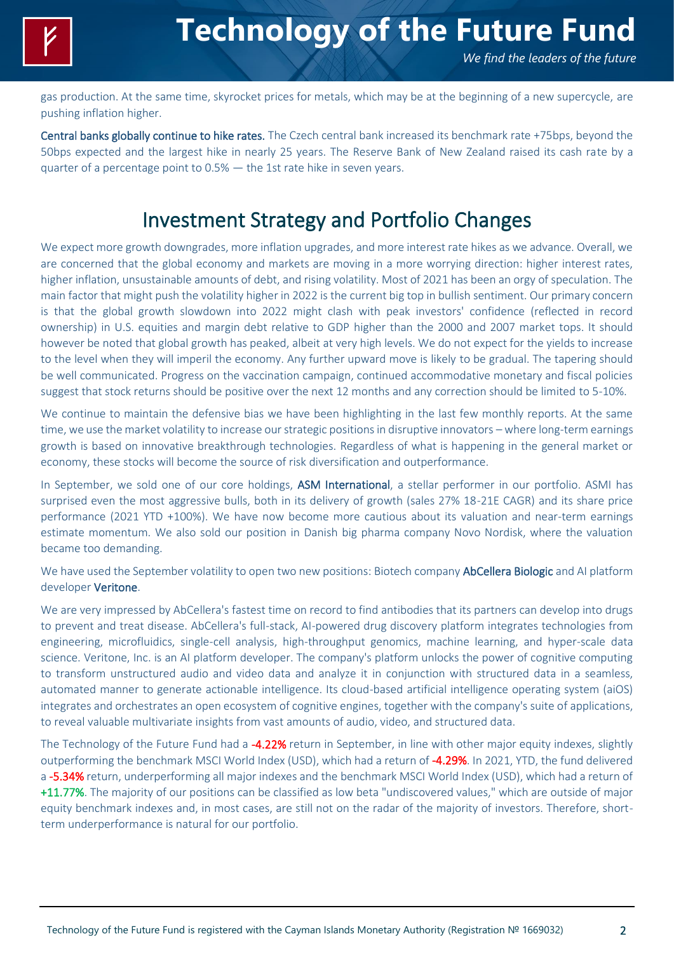

*We find the leaders of the future*

gas production. At the same time, skyrocket prices for metals, which may be at the beginning of a new supercycle, are pushing inflation higher.

Central banks globally continue to hike rates. The Czech central bank increased its benchmark rate +75bps, beyond the 50bps expected and the largest hike in nearly 25 years. The Reserve Bank of New Zealand raised its cash rate by a quarter of a percentage point to 0.5% — the 1st rate hike in seven years.

### Investment Strategy and Portfolio Changes

We expect more growth downgrades, more inflation upgrades, and more interest rate hikes as we advance. Overall, we are concerned that the global economy and markets are moving in a more worrying direction: higher interest rates, higher inflation, unsustainable amounts of debt, and rising volatility. Most of 2021 has been an orgy of speculation. The main factor that might push the volatility higher in 2022 is the current big top in bullish sentiment. Our primary concern is that the global growth slowdown into 2022 might clash with peak investors' confidence (reflected in record ownership) in U.S. equities and margin debt relative to GDP higher than the 2000 and 2007 market tops. It should however be noted that global growth has peaked, albeit at very high levels. We do not expect for the yields to increase to the level when they will imperil the economy. Any further upward move is likely to be gradual. The tapering should be well communicated. Progress on the vaccination campaign, continued accommodative monetary and fiscal policies suggest that stock returns should be positive over the next 12 months and any correction should be limited to 5-10%.

We continue to maintain the defensive bias we have been highlighting in the last few monthly reports. At the same time, we use the market volatility to increase our strategic positions in disruptive innovators – where long-term earnings growth is based on innovative breakthrough technologies. Regardless of what is happening in the general market or economy, these stocks will become the source of risk diversification and outperformance.

In September, we sold one of our core holdings, ASM International, a stellar performer in our portfolio. ASMI has surprised even the most aggressive bulls, both in its delivery of growth (sales 27% 18-21E CAGR) and its share price performance (2021 YTD +100%). We have now become more cautious about its valuation and near-term earnings estimate momentum. We also sold our position in Danish big pharma company Novo Nordisk, where the valuation became too demanding.

We have used the September volatility to open two new positions: Biotech company **AbCellera Biologic** and AI platform developer Veritone.

We are very impressed by AbCellera's fastest time on record to find antibodies that its partners can develop into drugs to prevent and treat disease. AbCellera's full-stack, AI-powered drug discovery platform integrates technologies from engineering, microfluidics, single-cell analysis, high-throughput genomics, machine learning, and hyper-scale data science. Veritone, Inc. is an AI platform developer. The company's platform unlocks the power of cognitive computing to transform unstructured audio and video data and analyze it in conjunction with structured data in a seamless, automated manner to generate actionable intelligence. Its cloud-based artificial intelligence operating system (aiOS) integrates and orchestrates an open ecosystem of cognitive engines, together with the company's suite of applications, to reveal valuable multivariate insights from vast amounts of audio, video, and structured data.

The Technology of the Future Fund had a -4.22% return in September, in line with other major equity indexes, slightly outperforming the benchmark MSCI World Index (USD), which had a return of -4.29%. In 2021, YTD, the fund delivered a -5.34% return, underperforming all major indexes and the benchmark MSCI World Index (USD), which had a return of +11.77%. The majority of our positions can be classified as low beta "undiscovered values," which are outside of major equity benchmark indexes and, in most cases, are still not on the radar of the majority of investors. Therefore, shortterm underperformance is natural for our portfolio.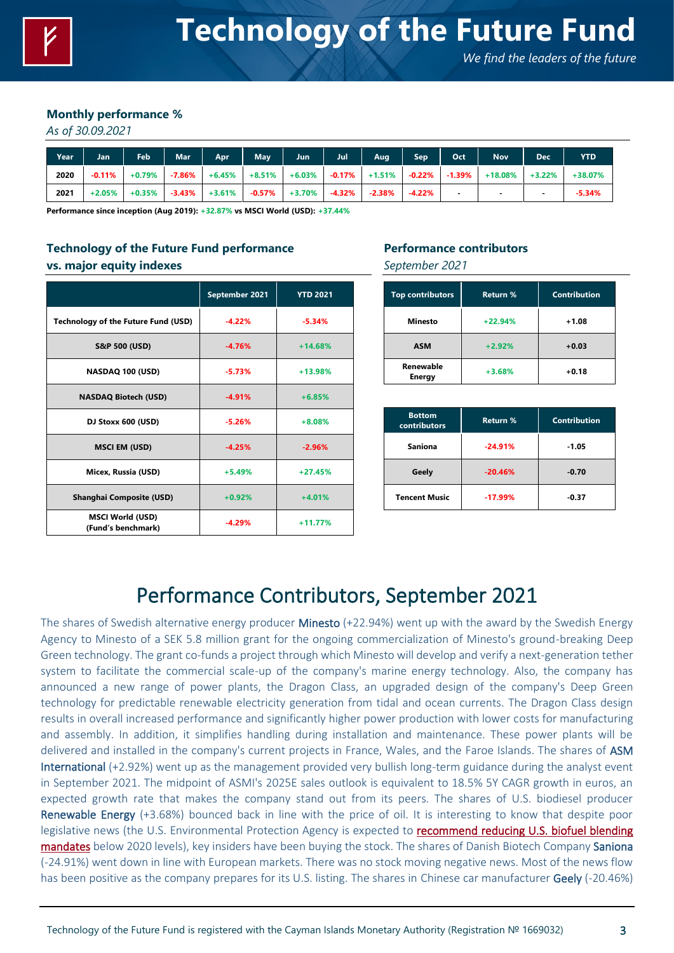*We find the leaders of the future*

#### **Monthly performance %**

*As of 30.09.2021*

| Year | Jan      | Feb      | <b>Mar</b> | Apr                                                                               | May       | Jun      | Jul       | Aug       | Sep <sup>1</sup> | Oct | <b>Nov</b>               | <b>Dec</b> | YTD      |
|------|----------|----------|------------|-----------------------------------------------------------------------------------|-----------|----------|-----------|-----------|------------------|-----|--------------------------|------------|----------|
| 2020 | $-0.11%$ |          |            | $+0.79\%$   -7.86%   +6.45%   +8.51%   +6.03%   -0.17%   +1.51%   -0.22%   -1.39% |           |          |           |           |                  |     | $+18.08\%$               | $+3.22\%$  | +38.07%  |
| 2021 | $+2.05%$ | $+0.35%$ |            | $-3.43\%$ $+3.61\%$                                                               | $-0.57\%$ | $+3.70%$ | $-4.32\%$ | $-2.38\%$ | -4.22%           |     | $\overline{\phantom{a}}$ |            | $-5.34%$ |

**Performance since inception (Aug 2019): +32.87% vs MSCI World (USD): +37.44%**

### **Technology of the Future Fund performance vs. major equity indexes**

|                                               | September 2021 | <b>YTD 2021</b> |
|-----------------------------------------------|----------------|-----------------|
| <b>Technology of the Future Fund (USD)</b>    | $-4.22%$       | $-5.34%$        |
| S&P 500 (USD)                                 | $-4.76%$       | $+14.68%$       |
| NASDAQ 100 (USD)                              | $-5.73%$       | $+13.98%$       |
| <b>NASDAQ Biotech (USD)</b>                   | $-4.91%$       | $+6.85%$        |
| DJ Stoxx 600 (USD)                            | $-5.26%$       | $+8.08%$        |
| <b>MSCI EM (USD)</b>                          | $-4.25%$       | $-2.96%$        |
| Micex, Russia (USD)                           | $+5.49%$       | $+27.45%$       |
| <b>Shanghai Composite (USD)</b>               | $+0.92%$       | $+4.01%$        |
| <b>MSCI World (USD)</b><br>(Fund's benchmark) | $-4.29%$       | $+11.77%$       |

### **Performance contributors**

*September 2021*

| <b>Top contributors</b>    | <b>Return %</b> | <b>Contribution</b> |
|----------------------------|-----------------|---------------------|
| <b>Minesto</b>             | $+22.94%$       | $+1.08$             |
| <b>ASM</b>                 | $+2.92%$        | $+0.03$             |
| Renewable<br><b>Energy</b> | $+3.68%$        | $+0.18$             |

| <b>Bottom</b><br><b>contributors</b> | Return %  | <b>Contribution</b> |  |  |
|--------------------------------------|-----------|---------------------|--|--|
| Saniona                              | $-24.91%$ | $-1.05$             |  |  |
| Geely                                | $-20.46%$ | $-0.70$             |  |  |
| <b>Tencent Music</b>                 | $-17.99%$ | $-0.37$             |  |  |

# Performance Contributors, September 2021

The shares of Swedish alternative energy producer Minesto (+22.94%) went up with the award by the Swedish Energy Agency to Minesto of a SEK 5.8 million grant for the ongoing commercialization of Minesto's ground-breaking Deep Green technology. The grant co-funds a project through which Minesto will develop and verify a next-generation tether system to facilitate the commercial scale-up of the company's marine energy technology. Also, the company has announced a new range of power plants, the Dragon Class, an upgraded design of the company's Deep Green technology for predictable renewable electricity generation from tidal and ocean currents. The Dragon Class design results in overall increased performance and significantly higher power production with lower costs for manufacturing and assembly. In addition, it simplifies handling during installation and maintenance. These power plants will be delivered and installed in the company's current projects in France, Wales, and the Faroe Islands. The shares of ASM International (+2.92%) went up as the management provided very bullish long-term guidance during the analyst event in September 2021. The midpoint of ASMI's 2025E sales outlook is equivalent to 18.5% 5Y CAGR growth in euros, an expected growth rate that makes the company stand out from its peers. The shares of U.S. biodiesel producer Renewable Energy (+3.68%) bounced back in line with the price of oil. It is interesting to know that despite poor legislative news (the U.S. Environmental Protection Agency is expected to recommend reducing U.S. biofuel blending [mandates](https://www.reuters.com/business/energy/us-epa-recommend-lower-biofuel-blending-mandates-below-2020-levels-sources-2021-08-20/) below 2020 levels), key insiders have been buying the stock. The shares of Danish Biotech Company Saniona (-24.91%) went down in line with European markets. There was no stock moving negative news. Most of the news flow has been positive as the company prepares for its U.S. listing. The shares in Chinese car manufacturer Geely (-20.46%)